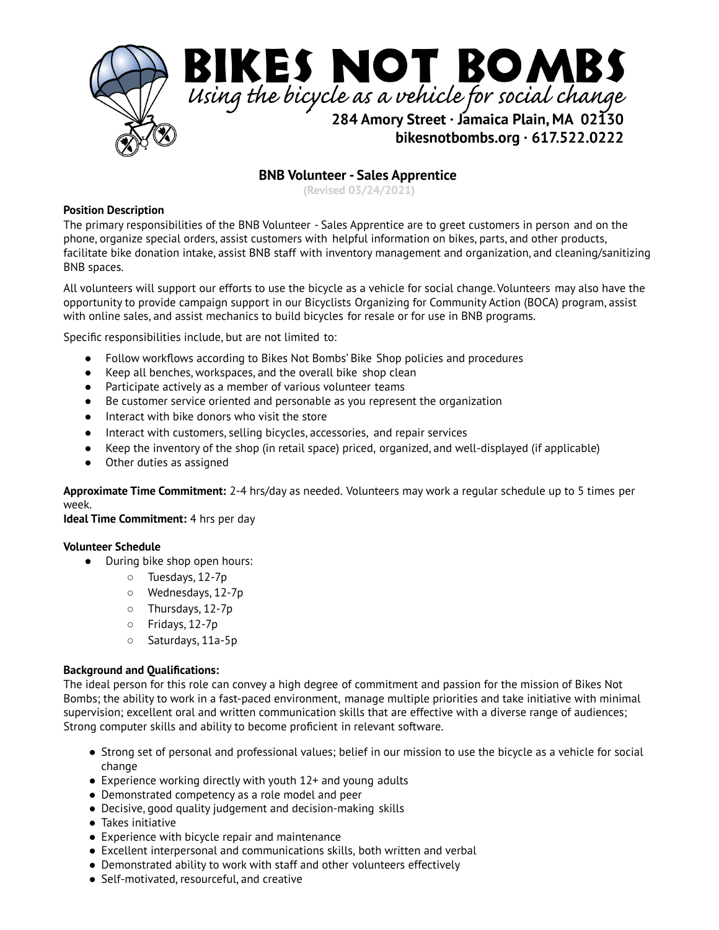

# **BNB Volunteer - Sales Apprentice**

**(Revised 03/24/2021)**

### **Position Description**

The primary responsibilities of the BNB Volunteer - Sales Apprentice are to greet customers in person and on the phone, organize special orders, assist customers with helpful information on bikes, parts, and other products, facilitate bike donation intake, assist BNB staff with inventory management and organization, and cleaning/sanitizing BNB spaces.

All volunteers will support our efforts to use the bicycle as a vehicle for social change. Volunteers may also have the opportunity to provide campaign support in our Bicyclists Organizing for Community Action (BOCA) program, assist with online sales, and assist mechanics to build bicycles for resale or for use in BNB programs.

Specific responsibilities include, but are not limited to:

- Follow workflows according to Bikes Not Bombs' Bike Shop policies and procedures
- Keep all benches, workspaces, and the overall bike shop clean
- Participate actively as a member of various volunteer teams
- Be customer service oriented and personable as you represent the organization
- Interact with bike donors who visit the store
- Interact with customers, selling bicycles, accessories, and repair services
- Keep the inventory of the shop (in retail space) priced, organized, and well-displayed (if applicable)
- Other duties as assigned

**Approximate Time Commitment:** 2-4 hrs/day as needed. Volunteers may work a regular schedule up to 5 times per week.

**Ideal Time Commitment:** 4 hrs per day

## **Volunteer Schedule**

- During bike shop open hours:
	- Tuesdays, 12-7p
	- Wednesdays, 12-7p
	- Thursdays, 12-7p
	- Fridays, 12-7p
	- Saturdays, 11a-5p

## **Background and Qualifications:**

The ideal person for this role can convey a high degree of commitment and passion for the mission of Bikes Not Bombs; the ability to work in a fast-paced environment, manage multiple priorities and take initiative with minimal supervision; excellent oral and written communication skills that are effective with a diverse range of audiences; Strong computer skills and ability to become proficient in relevant software.

- Strong set of personal and professional values; belief in our mission to use the bicycle as a vehicle for social change
- $\bullet$  Experience working directly with youth 12+ and young adults
- Demonstrated competency as a role model and peer
- Decisive, good quality judgement and decision-making skills
- Takes initiative
- Experience with bicycle repair and maintenance
- Excellent interpersonal and communications skills, both written and verbal
- Demonstrated ability to work with staff and other volunteers effectively
- Self-motivated, resourceful, and creative